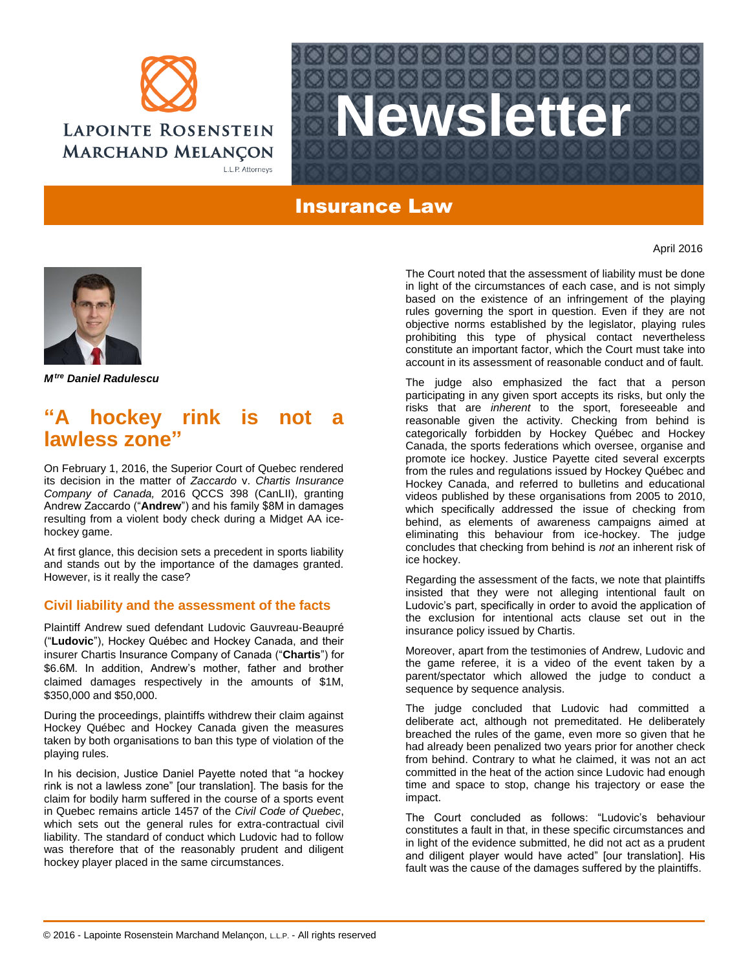



# Insurance Law



*Mtre Daniel Radulescu*

# "A hockey rink is not **lawless zone"**

On February 1, 2016, the Superior Court of Quebec rendered its decision in the matter of *Zaccardo* v. *Chartis Insurance Company of Canada,* 2016 QCCS 398 (CanLII), granting Andrew Zaccardo ("**Andrew**") and his family \$8M in damages resulting from a violent body check during a Midget AA icehockey game.

At first glance, this decision sets a precedent in sports liability and stands out by the importance of the damages granted. However, is it really the case?

## **Civil liability and the assessment of the facts**

Plaintiff Andrew sued defendant Ludovic Gauvreau-Beaupré ("**Ludovic**"), Hockey Québec and Hockey Canada, and their insurer Chartis Insurance Company of Canada ("**Chartis**") for \$6.6M. In addition, Andrew's mother, father and brother claimed damages respectively in the amounts of \$1M, \$350,000 and \$50,000.

During the proceedings, plaintiffs withdrew their claim against Hockey Québec and Hockey Canada given the measures taken by both organisations to ban this type of violation of the playing rules.

In his decision, Justice Daniel Payette noted that "a hockey rink is not a lawless zone" [our translation]. The basis for the claim for bodily harm suffered in the course of a sports event in Quebec remains article 1457 of the *Civil Code of Quebec*, which sets out the general rules for extra-contractual civil liability. The standard of conduct which Ludovic had to follow was therefore that of the reasonably prudent and diligent hockey player placed in the same circumstances.

The Court noted that the assessment of liability must be done in light of the circumstances of each case, and is not simply based on the existence of an infringement of the playing rules governing the sport in question. Even if they are not objective norms established by the legislator, playing rules prohibiting this type of physical contact nevertheless constitute an important factor, which the Court must take into account in its assessment of reasonable conduct and of fault.

The judge also emphasized the fact that a person participating in any given sport accepts its risks, but only the risks that are *inherent* to the sport, foreseeable and reasonable given the activity. Checking from behind is categorically forbidden by Hockey Québec and Hockey Canada, the sports federations which oversee, organise and promote ice hockey. Justice Payette cited several excerpts from the rules and regulations issued by Hockey Québec and Hockey Canada, and referred to bulletins and educational videos published by these organisations from 2005 to 2010, which specifically addressed the issue of checking from behind, as elements of awareness campaigns aimed at eliminating this behaviour from ice-hockey. The judge concludes that checking from behind is *not* an inherent risk of ice hockey.

Regarding the assessment of the facts, we note that plaintiffs insisted that they were not alleging intentional fault on Ludovic's part, specifically in order to avoid the application of the exclusion for intentional acts clause set out in the insurance policy issued by Chartis.

Moreover, apart from the testimonies of Andrew, Ludovic and the game referee, it is a video of the event taken by a parent/spectator which allowed the judge to conduct a sequence by sequence analysis.

The judge concluded that Ludovic had committed a deliberate act, although not premeditated. He deliberately breached the rules of the game, even more so given that he had already been penalized two years prior for another check from behind. Contrary to what he claimed, it was not an act committed in the heat of the action since Ludovic had enough time and space to stop, change his trajectory or ease the impact.

The Court concluded as follows: "Ludovic's behaviour constitutes a fault in that, in these specific circumstances and in light of the evidence submitted, he did not act as a prudent and diligent player would have acted" [our translation]. His fault was the cause of the damages suffered by the plaintiffs.

April 2016